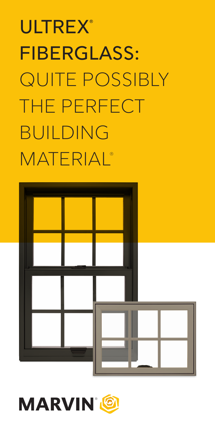# **ULTREX®** FIBERGLASS: QUITE POSSIBLY THE PERFECT BUILDING **MATERIAL®**



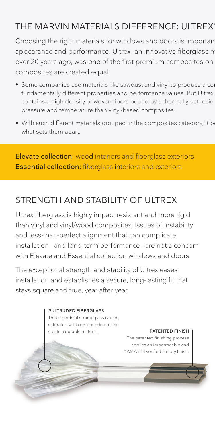#### THE MARVIN MATERIALS DIFFERENCE: ULTREX

Choosing the right materials for windows and doors is importan appearance and performance. Ultrex, an innovative fiberglass m over 20 years ago, was one of the first premium composites on composites are created equal.

- Some companies use materials like sawdust and vinyl to produce a com fundamentally different properties and performance values. But Ultrex contains a high density of woven fibers bound by a thermally-set resin pressure and temperature than vinyl-based composites.
- With such different materials grouped in the composites category, it be what sets them apart.

Elevate collection: wood interiors and fiberglass exteriors Essential collection: fiberglass interiors and exteriors

#### STRENGTH AND STABILITY OF UITREX

Ultrex fiberglass is highly impact resistant and more rigid than vinyl and vinyl/wood composites. Issues of instability and less-than-perfect alignment that can complicate installation—and long-term performance—are not a concern with Elevate and Essential collection windows and doors.

The exceptional strength and stability of Ultrex eases installation and establishes a secure, long-lasting fit that stays square and true, year after year.

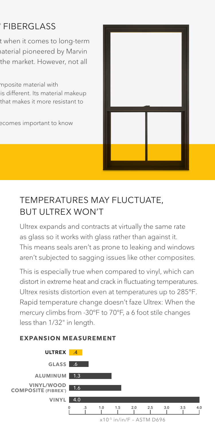#### THE MARVIN MATERIALS DIFFERENCE: ULTREX ® **FIBERGLASS**

t when it comes to long-term aterial pioneered by Marvin the market. However, not all

mposite material with is different. Its material makeup that makes it more resistant to

ecomes important to know



### TEMPERATURES MAY FLUCTUATE, BUT ULTREX WON'T

Ultrex expands and contracts at virtually the same rate as glass so it works with glass rather than against it. This means seals aren't as prone to leaking and windows aren't subjected to sagging issues like other composites.

This is especially true when compared to vinyl, which can distort in extreme heat and crack in fluctuating temperatures. Ultrex resists distortion even at temperatures up to 285°F. Rapid temperature change doesn't faze Ultrex: When the mercury climbs from -30°F to 70°F, a 6 foot stile changes less than 1/32" in length.

#### **EXPANSION MEASUREMENT**